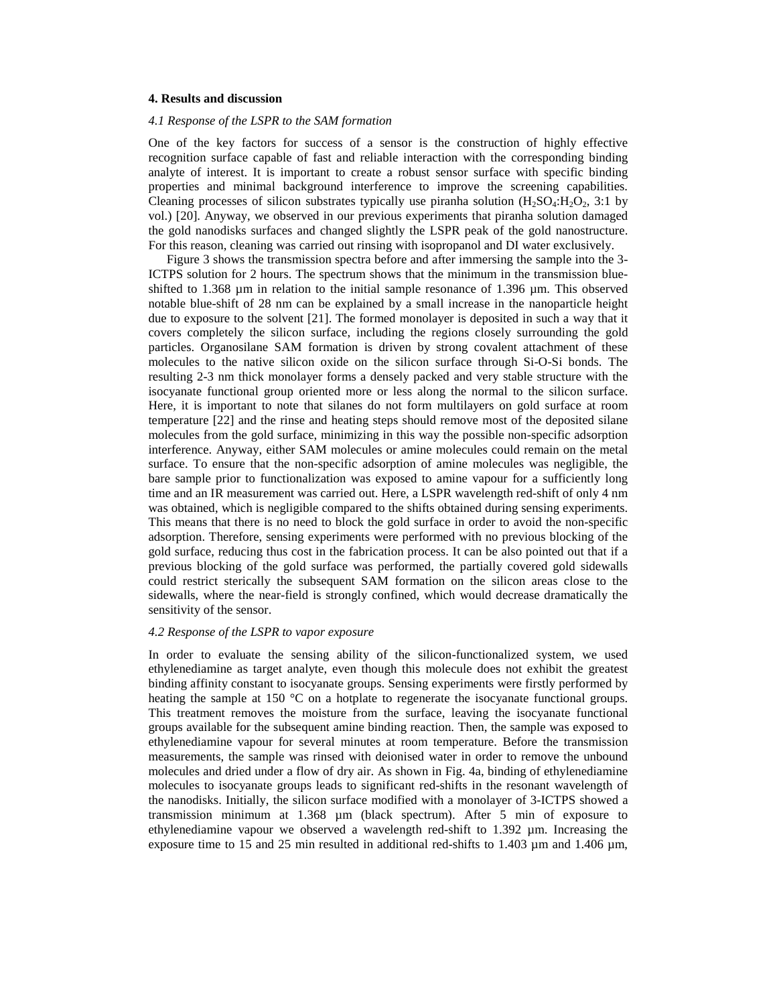## **4. Results and discussion**

#### *4.1 Response of the LSPR to the SAM formation*

One of the key factors for success of a sensor is the construction of highly effective recognition surface capable of fast and reliable interaction with the corresponding binding analyte of interest. It is important to create a robust sensor surface with specific binding properties and minimal background interference to improve the screening capabilities. Cleaning processes of silicon substrates typically use piranha solution  $(H_2SO_4:H_2O_2, 3:1)$  by vol.) [20]. Anyway, we observed in our previous experiments that piranha solution damaged the gold nanodisks surfaces and changed slightly the LSPR peak of the gold nanostructure. For this reason, cleaning was carried out rinsing with isopropanol and DI water exclusively.

Figure 3 shows the transmission spectra before and after immersing the sample into the 3- ICTPS solution for 2 hours. The spectrum shows that the minimum in the transmission blueshifted to 1.368  $\mu$ m in relation to the initial sample resonance of 1.396  $\mu$ m. This observed notable blue-shift of 28 nm can be explained by a small increase in the nanoparticle height due to exposure to the solvent [21]. The formed monolayer is deposited in such a way that it covers completely the silicon surface, including the regions closely surrounding the gold particles. Organosilane SAM formation is driven by strong covalent attachment of these molecules to the native silicon oxide on the silicon surface through Si-O-Si bonds. The resulting 2-3 nm thick monolayer forms a densely packed and very stable structure with the isocyanate functional group oriented more or less along the normal to the silicon surface. Here, it is important to note that silanes do not form multilayers on gold surface at room temperature [22] and the rinse and heating steps should remove most of the deposited silane molecules from the gold surface, minimizing in this way the possible non-specific adsorption interference. Anyway, either SAM molecules or amine molecules could remain on the metal surface. To ensure that the non-specific adsorption of amine molecules was negligible, the bare sample prior to functionalization was exposed to amine vapour for a sufficiently long time and an IR measurement was carried out. Here, a LSPR wavelength red-shift of only 4 nm was obtained, which is negligible compared to the shifts obtained during sensing experiments. This means that there is no need to block the gold surface in order to avoid the non-specific adsorption. Therefore, sensing experiments were performed with no previous blocking of the gold surface, reducing thus cost in the fabrication process. It can be also pointed out that if a previous blocking of the gold surface was performed, the partially covered gold sidewalls could restrict sterically the subsequent SAM formation on the silicon areas close to the sidewalls, where the near-field is strongly confined, which would decrease dramatically the sensitivity of the sensor.

## *4.2 Response of the LSPR to vapor exposure*

In order to evaluate the sensing ability of the silicon-functionalized system, we used ethylenediamine as target analyte, even though this molecule does not exhibit the greatest binding affinity constant to isocyanate groups. Sensing experiments were firstly performed by heating the sample at 150  $^{\circ}$ C on a hotplate to regenerate the isocyanate functional groups. This treatment removes the moisture from the surface, leaving the isocyanate functional groups available for the subsequent amine binding reaction. Then, the sample was exposed to ethylenediamine vapour for several minutes at room temperature. Before the transmission measurements, the sample was rinsed with deionised water in order to remove the unbound molecules and dried under a flow of dry air. As shown in Fig. 4a, binding of ethylenediamine molecules to isocyanate groups leads to significant red-shifts in the resonant wavelength of the nanodisks. Initially, the silicon surface modified with a monolayer of 3-ICTPS showed a transmission minimum at 1.368 µm (black spectrum). After 5 min of exposure to ethylenediamine vapour we observed a wavelength red-shift to 1.392 µm. Increasing the exposure time to 15 and 25 min resulted in additional red-shifts to 1.403  $\mu$ m and 1.406  $\mu$ m,

#139457 - \$15.00 USD Received 9 Dec 2010; revised 23 Feb 2011; accepted 23 Feb 2011; published 6 Apr 2011 (C) 2011 OSA 11 April 2011 / Vol. 19, No. 8 / OPTICS EXPRESS 7669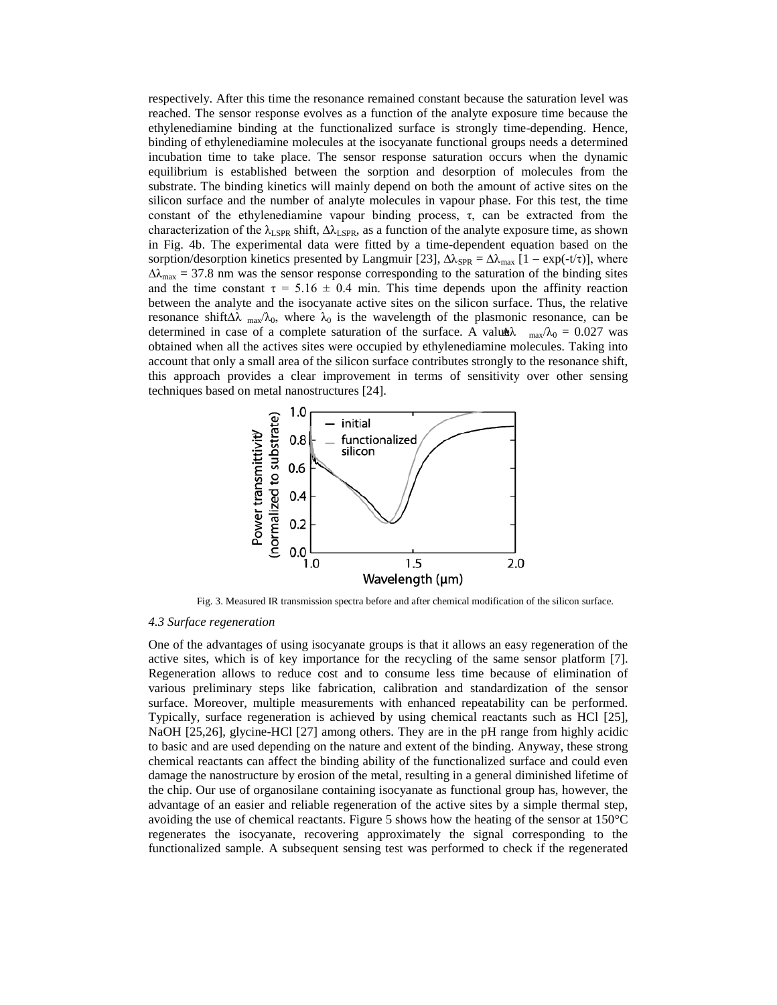respectively. After this time the resonance remained constant because the saturation level was reached. The sensor response evolves as a function of the analyte exposure time because the ethylenediamine binding at the functionalized surface is strongly time-depending. Hence, binding of ethylenediamine molecules at the isocyanate functional groups needs a determined incubation time to take place. The sensor response saturation occurs when the dynamic equilibrium is established between the sorption and desorption of molecules from the substrate. The binding kinetics will mainly depend on both the amount of active sites on the silicon surface and the number of analyte molecules in vapour phase. For this test, the time constant of the ethylenediamine vapour binding process,  $\tau$ , can be extracted from the characterization of the  $\lambda_{\text{LSPR}}$  shift,  $\Delta \lambda_{\text{LSPR}}$ , as a function of the analyte exposure time, as shown in Fig. 4b. The experimental data were fitted by a time-dependent equation based on the sorption/desorption kinetics presented by Langmuir [23],  $\Delta \lambda_{SPR} = \Delta \lambda_{max}$  [1 – exp(-t/ $\tau$ )], where  $\Delta\lambda_{\text{max}} = 37.8$  nm was the sensor response corresponding to the saturation of the binding sites and the time constant  $\tau = 5.16 \pm 0.4$  min. This time depends upon the affinity reaction between the analyte and the isocyanate active sites on the silicon surface. Thus, the relative resonance shift  $\Delta \lambda_{\text{max}}/\lambda_0$ , where  $\lambda_0$  is the wavelength of the plasmonic resonance, can be determined in case of a complete saturation of the surface. A value  $\lambda_{\text{max}}/\lambda_0 = 0.027$  was obtained when all the actives sites were occupied by ethylenediamine molecules. Taking into account that only a small area of the silicon surface contributes strongly to the resonance shift, this approach provides a clear improvement in terms of sensitivity over other sensing techniques based on metal nanostructures [24].



Fig. 3. Measured IR transmission spectra before and after chemical modification of the silicon surface.

### *4.3 Surface regeneration*

One of the advantages of using isocyanate groups is that it allows an easy regeneration of the active sites, which is of key importance for the recycling of the same sensor platform [7]. Regeneration allows to reduce cost and to consume less time because of elimination of various preliminary steps like fabrication, calibration and standardization of the sensor surface. Moreover, multiple measurements with enhanced repeatability can be performed. Typically, surface regeneration is achieved by using chemical reactants such as HCl [25], NaOH [25,26], glycine-HCl [27] among others. They are in the pH range from highly acidic to basic and are used depending on the nature and extent of the binding. Anyway, these strong chemical reactants can affect the binding ability of the functionalized surface and could even damage the nanostructure by erosion of the metal, resulting in a general diminished lifetime of the chip. Our use of organosilane containing isocyanate as functional group has, however, the advantage of an easier and reliable regeneration of the active sites by a simple thermal step, avoiding the use of chemical reactants. Figure 5 shows how the heating of the sensor at 150°C regenerates the isocyanate, recovering approximately the signal corresponding to the functionalized sample. A subsequent sensing test was performed to check if the regenerated

#139457 - \$15.00 USD Received 9 Dec 2010; revised 23 Feb 2011; accepted 23 Feb 2011; published 6 Apr 2011 (C) 2011 OSA 11 April 2011 / Vol. 19, No. 8 / OPTICS EXPRESS 7670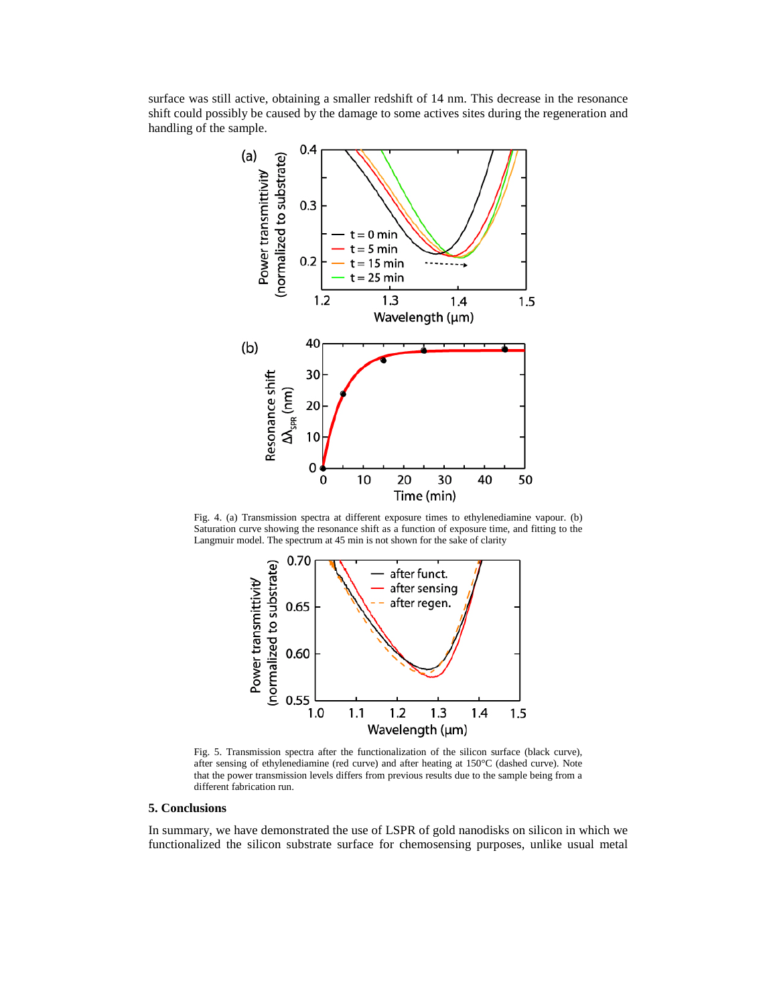surface was still active, obtaining a smaller redshift of 14 nm. This decrease in the resonance shift could possibly be caused by the damage to some actives sites during the regeneration and handling of the sample.



Fig. 4. (a) Transmission spectra at different exposure times to ethylenediamine vapour. (b) Saturation curve showing the resonance shift as a function of exposure time, and fitting to the Langmuir model. The spectrum at 45 min is not shown for the sake of clarity



Fig. 5. Transmission spectra after the functionalization of the silicon surface (black curve), after sensing of ethylenediamine (red curve) and after heating at 150°C (dashed curve). Note that the power transmission levels differs from previous results due to the sample being from a different fabrication run.

# **5. Conclusions**

In summary, we have demonstrated the use of LSPR of gold nanodisks on silicon in which we functionalized the silicon substrate surface for chemosensing purposes, unlike usual metal

#139457 - \$15.00 USD Received 9 Dec 2010; revised 23 Feb 2011; accepted 23 Feb 2011; published 6 Apr 2011 (C) 2011 OSA 11 April 2011 / Vol. 19, No. 8 / OPTICS EXPRESS 7671